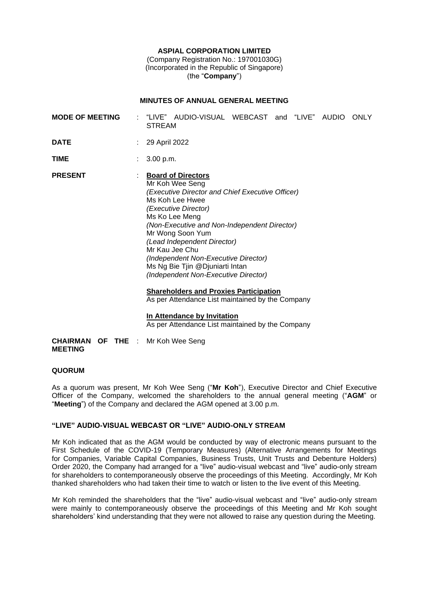#### **ASPIAL CORPORATION LIMITED**

(Company Registration No.: 197001030G) (Incorporated in the Republic of Singapore) (the "**Company**")

#### **MINUTES OF ANNUAL GENERAL MEETING**

| <b>MODE OF MEETING</b> |    | "LIVE" AUDIO-VISUAL WEBCAST and "LIVE" AUDIO<br><b>ONLY</b><br><b>STREAM</b>                                                                                                                                                                                                                                                                                                                                                                                                                                                              |
|------------------------|----|-------------------------------------------------------------------------------------------------------------------------------------------------------------------------------------------------------------------------------------------------------------------------------------------------------------------------------------------------------------------------------------------------------------------------------------------------------------------------------------------------------------------------------------------|
| <b>DATE</b>            | ÷. | 29 April 2022                                                                                                                                                                                                                                                                                                                                                                                                                                                                                                                             |
| <b>TIME</b>            |    | 3.00 p.m.                                                                                                                                                                                                                                                                                                                                                                                                                                                                                                                                 |
| <b>PRESENT</b>         |    | <b>Board of Directors</b><br>Mr Koh Wee Seng<br>(Executive Director and Chief Executive Officer)<br>Ms Koh Lee Hwee<br>(Executive Director)<br>Ms Ko Lee Meng<br>(Non-Executive and Non-Independent Director)<br>Mr Wong Soon Yum<br>(Lead Independent Director)<br>Mr Kau Jee Chu<br>(Independent Non-Executive Director)<br>Ms Ng Bie Tjin @Djuniarti Intan<br>(Independent Non-Executive Director)<br><b>Shareholders and Proxies Participation</b><br>As per Attendance List maintained by the Company<br>In Attendance by Invitation |

As per Attendance List maintained by the Company

**CHAIRMAN OF THE** : Mr Koh Wee Seng **MEETING** 

# **QUORUM**

As a quorum was present, Mr Koh Wee Seng ("**Mr Koh**"), Executive Director and Chief Executive Officer of the Company, welcomed the shareholders to the annual general meeting ("**AGM**" or "**Meeting**") of the Company and declared the AGM opened at 3.00 p.m.

#### **"LIVE" AUDIO-VISUAL WEBCAST OR "LIVE" AUDIO-ONLY STREAM**

Mr Koh indicated that as the AGM would be conducted by way of electronic means pursuant to the First Schedule of the COVID-19 (Temporary Measures) (Alternative Arrangements for Meetings for Companies, Variable Capital Companies, Business Trusts, Unit Trusts and Debenture Holders) Order 2020, the Company had arranged for a "live" audio-visual webcast and "live" audio-only stream for shareholders to contemporaneously observe the proceedings of this Meeting. Accordingly, Mr Koh thanked shareholders who had taken their time to watch or listen to the live event of this Meeting.

Mr Koh reminded the shareholders that the "live" audio-visual webcast and "live" audio-only stream were mainly to contemporaneously observe the proceedings of this Meeting and Mr Koh sought shareholders' kind understanding that they were not allowed to raise any question during the Meeting.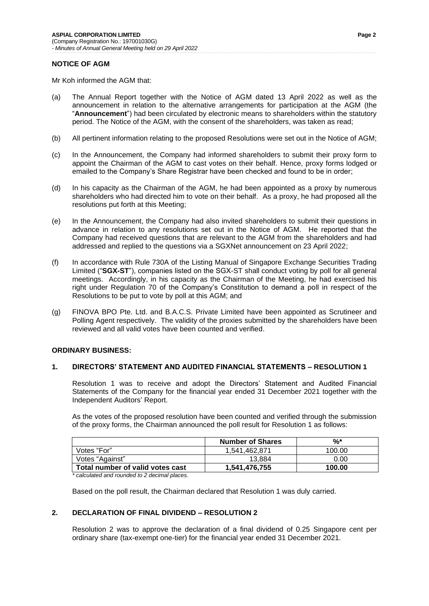# **NOTICE OF AGM**

Mr Koh informed the AGM that:

- (a) The Annual Report together with the Notice of AGM dated 13 April 2022 as well as the announcement in relation to the alternative arrangements for participation at the AGM (the "**Announcement**") had been circulated by electronic means to shareholders within the statutory period. The Notice of the AGM, with the consent of the shareholders, was taken as read;
- (b) All pertinent information relating to the proposed Resolutions were set out in the Notice of AGM;
- (c) In the Announcement, the Company had informed shareholders to submit their proxy form to appoint the Chairman of the AGM to cast votes on their behalf. Hence, proxy forms lodged or emailed to the Company's Share Registrar have been checked and found to be in order;
- (d) In his capacity as the Chairman of the AGM, he had been appointed as a proxy by numerous shareholders who had directed him to vote on their behalf. As a proxy, he had proposed all the resolutions put forth at this Meeting;
- (e) In the Announcement, the Company had also invited shareholders to submit their questions in advance in relation to any resolutions set out in the Notice of AGM. He reported that the Company had received questions that are relevant to the AGM from the shareholders and had addressed and replied to the questions via a SGXNet announcement on 23 April 2022;
- (f) In accordance with Rule 730A of the Listing Manual of Singapore Exchange Securities Trading Limited ("**SGX-ST**"), companies listed on the SGX-ST shall conduct voting by poll for all general meetings. Accordingly, in his capacity as the Chairman of the Meeting, he had exercised his right under Regulation 70 of the Company's Constitution to demand a poll in respect of the Resolutions to be put to vote by poll at this AGM; and
- (g) FINOVA BPO Pte. Ltd. and B.A.C.S. Private Limited have been appointed as Scrutineer and Polling Agent respectively. The validity of the proxies submitted by the shareholders have been reviewed and all valid votes have been counted and verified.

#### **ORDINARY BUSINESS:**

### **1. DIRECTORS' STATEMENT AND AUDITED FINANCIAL STATEMENTS – RESOLUTION 1**

Resolution 1 was to receive and adopt the Directors' Statement and Audited Financial Statements of the Company for the financial year ended 31 December 2021 together with the Independent Auditors' Report.

As the votes of the proposed resolution have been counted and verified through the submission of the proxy forms, the Chairman announced the poll result for Resolution 1 as follows:

|                                  | <b>Number of Shares</b> | %*     |
|----------------------------------|-------------------------|--------|
| Votes "For"                      | 1.541.462.871           | 100.00 |
| Votes "Against"                  | 13.884                  | 0.00   |
| Total number of valid votes cast | 1.541.476.755           | 100.00 |

*\* calculated and rounded to 2 decimal places.*

Based on the poll result, the Chairman declared that Resolution 1 was duly carried.

#### **2. DECLARATION OF FINAL DIVIDEND – RESOLUTION 2**

Resolution 2 was to approve the declaration of a final dividend of 0.25 Singapore cent per ordinary share (tax-exempt one-tier) for the financial year ended 31 December 2021.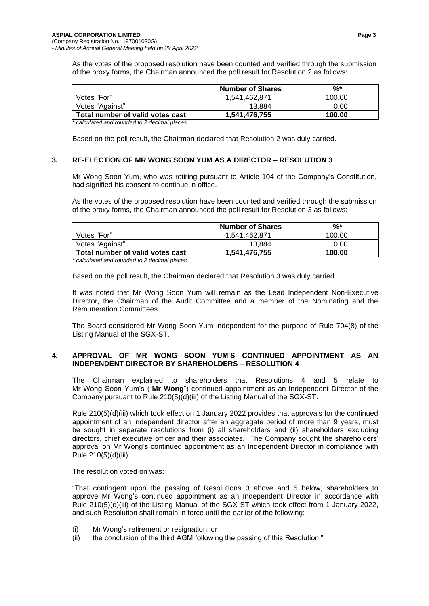As the votes of the proposed resolution have been counted and verified through the submission of the proxy forms, the Chairman announced the poll result for Resolution 2 as follows:

| <b>Number of Shares</b> | %*     |
|-------------------------|--------|
| 1.541.462.871           | 100.00 |
| 13.884                  | 0.00   |
| 1.541.476.755           | 100.00 |
|                         |        |

*\* calculated and rounded to 2 decimal places.*

Based on the poll result, the Chairman declared that Resolution 2 was duly carried.

# **3. RE-ELECTION OF MR WONG SOON YUM AS A DIRECTOR – RESOLUTION 3**

Mr Wong Soon Yum, who was retiring pursuant to Article 104 of the Company's Constitution, had signified his consent to continue in office.

As the votes of the proposed resolution have been counted and verified through the submission of the proxy forms, the Chairman announced the poll result for Resolution 3 as follows:

| <b>Number of Shares</b> | %*     |
|-------------------------|--------|
| 1.541.462.871           | 100.00 |
| 13.884                  | 0.00   |
| 1.541.476.755           | 100.00 |
|                         |        |

*\* calculated and rounded to 2 decimal places.*

Based on the poll result, the Chairman declared that Resolution 3 was duly carried.

It was noted that Mr Wong Soon Yum will remain as the Lead Independent Non-Executive Director, the Chairman of the Audit Committee and a member of the Nominating and the Remuneration Committees.

The Board considered Mr Wong Soon Yum independent for the purpose of Rule 704(8) of the Listing Manual of the SGX-ST.

# **4. APPROVAL OF MR WONG SOON YUM'S CONTINUED APPOINTMENT AS AN INDEPENDENT DIRECTOR BY SHAREHOLDERS – RESOLUTION 4**

The Chairman explained to shareholders that Resolutions 4 and 5 relate to Mr Wong Soon Yum's ("**Mr Wong**") continued appointment as an Independent Director of the Company pursuant to Rule 210(5)(d)(iii) of the Listing Manual of the SGX-ST.

Rule 210(5)(d)(iii) which took effect on 1 January 2022 provides that approvals for the continued appointment of an independent director after an aggregate period of more than 9 years, must be sought in separate resolutions from (i) all shareholders and (ii) shareholders excluding directors, chief executive officer and their associates. The Company sought the shareholders' approval on Mr Wong's continued appointment as an Independent Director in compliance with Rule 210(5)(d)(iii).

The resolution voted on was:

"That contingent upon the passing of Resolutions 3 above and 5 below, shareholders to approve Mr Wong's continued appointment as an Independent Director in accordance with Rule 210(5)(d)(iii) of the Listing Manual of the SGX-ST which took effect from 1 January 2022, and such Resolution shall remain in force until the earlier of the following:

- (i) Mr Wong's retirement or resignation; or
- (ii) the conclusion of the third AGM following the passing of this Resolution."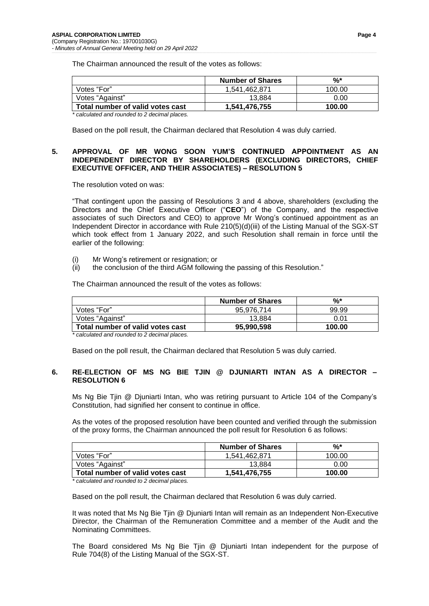The Chairman announced the result of the votes as follows:

|                                  | <b>Number of Shares</b> | %*     |
|----------------------------------|-------------------------|--------|
| Votes "For"                      | 1.541.462.871           | 100.00 |
| Votes "Against"                  | 13.884                  | 0.00   |
| Total number of valid votes cast | 1.541.476.755           | 100.00 |

*\* calculated and rounded to 2 decimal places.*

Based on the poll result, the Chairman declared that Resolution 4 was duly carried.

# **5. APPROVAL OF MR WONG SOON YUM'S CONTINUED APPOINTMENT AS AN INDEPENDENT DIRECTOR BY SHAREHOLDERS (EXCLUDING DIRECTORS, CHIEF EXECUTIVE OFFICER, AND THEIR ASSOCIATES) – RESOLUTION 5**

The resolution voted on was:

"That contingent upon the passing of Resolutions 3 and 4 above, shareholders (excluding the Directors and the Chief Executive Officer ("**CEO**") of the Company, and the respective associates of such Directors and CEO) to approve Mr Wong's continued appointment as an Independent Director in accordance with Rule 210(5)(d)(iii) of the Listing Manual of the SGX-ST which took effect from 1 January 2022, and such Resolution shall remain in force until the earlier of the following:

- (i) Mr Wong's retirement or resignation; or
- (ii) the conclusion of the third AGM following the passing of this Resolution."

The Chairman announced the result of the votes as follows:

|                                  | <b>Number of Shares</b> | %*     |
|----------------------------------|-------------------------|--------|
| Votes "For"                      | 95.976.714              | 99.99  |
| Votes "Against"                  | 13.884                  | 0.01   |
| Total number of valid votes cast | 95,990,598              | 100.00 |

*\* calculated and rounded to 2 decimal places.*

Based on the poll result, the Chairman declared that Resolution 5 was duly carried.

# **6. RE-ELECTION OF MS NG BIE TJIN @ DJUNIARTI INTAN AS A DIRECTOR – RESOLUTION 6**

Ms Ng Bie Tjin @ Djuniarti Intan, who was retiring pursuant to Article 104 of the Company's Constitution, had signified her consent to continue in office.

As the votes of the proposed resolution have been counted and verified through the submission of the proxy forms, the Chairman announced the poll result for Resolution 6 as follows:

|                                  | <b>Number of Shares</b> | %*     |
|----------------------------------|-------------------------|--------|
| Votes "For"                      | 1.541.462.871           | 100.00 |
| Votes "Against"                  | 13.884                  | 0.00   |
| Total number of valid votes cast | 1,541,476,755           | 100.00 |

*\* calculated and rounded to 2 decimal places.*

Based on the poll result, the Chairman declared that Resolution 6 was duly carried.

It was noted that Ms Ng Bie Tjin @ Djuniarti Intan will remain as an Independent Non-Executive Director, the Chairman of the Remuneration Committee and a member of the Audit and the Nominating Committees.

The Board considered Ms Ng Bie Tjin @ Djuniarti Intan independent for the purpose of Rule 704(8) of the Listing Manual of the SGX-ST.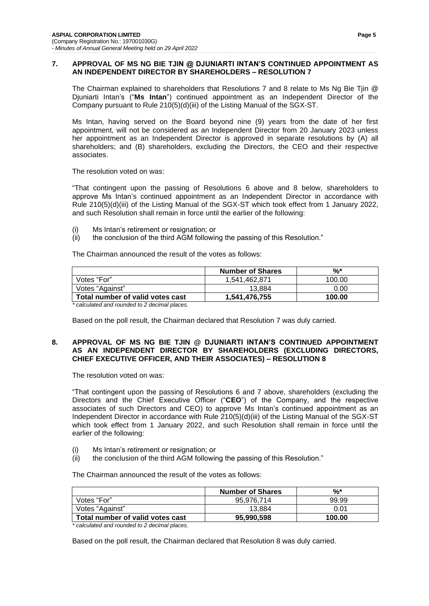#### **7. APPROVAL OF MS NG BIE TJIN @ DJUNIARTI INTAN'S CONTINUED APPOINTMENT AS AN INDEPENDENT DIRECTOR BY SHAREHOLDERS – RESOLUTION 7**

The Chairman explained to shareholders that Resolutions 7 and 8 relate to Ms Ng Bie Tjin @ Djuniarti Intan's ("**Ms Intan**") continued appointment as an Independent Director of the Company pursuant to Rule 210(5)(d)(iii) of the Listing Manual of the SGX-ST.

Ms Intan, having served on the Board beyond nine (9) years from the date of her first appointment, will not be considered as an Independent Director from 20 January 2023 unless her appointment as an Independent Director is approved in separate resolutions by (A) all shareholders; and (B) shareholders, excluding the Directors, the CEO and their respective associates.

The resolution voted on was:

"That contingent upon the passing of Resolutions 6 above and 8 below, shareholders to approve Ms Intan's continued appointment as an Independent Director in accordance with Rule 210(5)(d)(iii) of the Listing Manual of the SGX-ST which took effect from 1 January 2022, and such Resolution shall remain in force until the earlier of the following:

- (i) Ms Intan's retirement or resignation; or
- (ii) the conclusion of the third AGM following the passing of this Resolution."

The Chairman announced the result of the votes as follows:

|                                  | <b>Number of Shares</b> | %*     |
|----------------------------------|-------------------------|--------|
| Votes "For"                      | 1.541.462.871           | 100.00 |
| Votes "Against"                  | 13.884                  | 0.00   |
| Total number of valid votes cast | 1.541.476.755           | 100.00 |

*\* calculated and rounded to 2 decimal places.*

Based on the poll result, the Chairman declared that Resolution 7 was duly carried.

# **8. APPROVAL OF MS NG BIE TJIN @ DJUNIARTI INTAN'S CONTINUED APPOINTMENT AS AN INDEPENDENT DIRECTOR BY SHAREHOLDERS (EXCLUDING DIRECTORS, CHIEF EXECUTIVE OFFICER, AND THEIR ASSOCIATES) – RESOLUTION 8**

The resolution voted on was:

"That contingent upon the passing of Resolutions 6 and 7 above, shareholders (excluding the Directors and the Chief Executive Officer ("**CEO**") of the Company, and the respective associates of such Directors and CEO) to approve Ms Intan's continued appointment as an Independent Director in accordance with Rule 210(5)(d)(iii) of the Listing Manual of the SGX-ST which took effect from 1 January 2022, and such Resolution shall remain in force until the earlier of the following:

- (i) Ms Intan's retirement or resignation; or
- (ii) the conclusion of the third AGM following the passing of this Resolution."

The Chairman announced the result of the votes as follows:

|                                  | <b>Number of Shares</b> | %*     |
|----------------------------------|-------------------------|--------|
| Votes "For"                      | 95.976.714              | 99.99  |
| Votes "Against"                  | 13.884                  | 0.01   |
| Total number of valid votes cast | 95,990,598              | 100.00 |

*\* calculated and rounded to 2 decimal places.*

Based on the poll result, the Chairman declared that Resolution 8 was duly carried.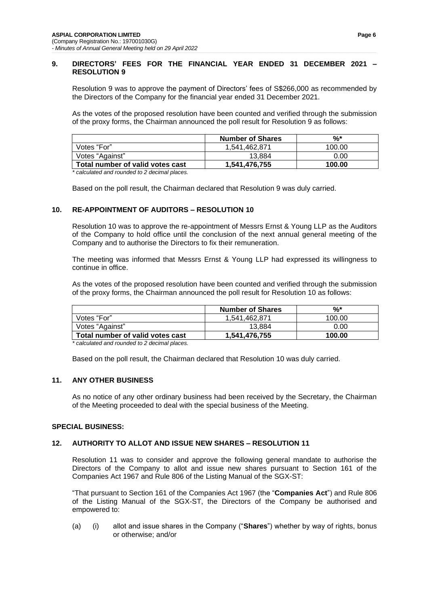#### **9. DIRECTORS' FEES FOR THE FINANCIAL YEAR ENDED 31 DECEMBER 2021 – RESOLUTION 9**

Resolution 9 was to approve the payment of Directors' fees of S\$266,000 as recommended by the Directors of the Company for the financial year ended 31 December 2021.

As the votes of the proposed resolution have been counted and verified through the submission of the proxy forms, the Chairman announced the poll result for Resolution 9 as follows:

|                                  | <b>Number of Shares</b> | %*     |
|----------------------------------|-------------------------|--------|
| Votes "For"                      | 1.541.462.871           | 100.00 |
| Votes "Against"                  | 13.884                  | 0.00   |
| Total number of valid votes cast | 1.541.476.755           | 100.00 |

*\* calculated and rounded to 2 decimal places.*

Based on the poll result, the Chairman declared that Resolution 9 was duly carried.

# **10. RE-APPOINTMENT OF AUDITORS – RESOLUTION 10**

Resolution 10 was to approve the re-appointment of Messrs Ernst & Young LLP as the Auditors of the Company to hold office until the conclusion of the next annual general meeting of the Company and to authorise the Directors to fix their remuneration.

The meeting was informed that Messrs Ernst & Young LLP had expressed its willingness to continue in office.

As the votes of the proposed resolution have been counted and verified through the submission of the proxy forms, the Chairman announced the poll result for Resolution 10 as follows:

|                                  | <b>Number of Shares</b> | %*     |
|----------------------------------|-------------------------|--------|
| Votes "For"                      | 1.541.462.871           | 100.00 |
| Votes "Against"                  | 13.884                  | 0.00   |
| Total number of valid votes cast | 1.541.476.755           | 100.00 |

*\* calculated and rounded to 2 decimal places.*

Based on the poll result, the Chairman declared that Resolution 10 was duly carried.

#### **11. ANY OTHER BUSINESS**

As no notice of any other ordinary business had been received by the Secretary, the Chairman of the Meeting proceeded to deal with the special business of the Meeting.

#### **SPECIAL BUSINESS:**

#### **12. AUTHORITY TO ALLOT AND ISSUE NEW SHARES – RESOLUTION 11**

Resolution 11 was to consider and approve the following general mandate to authorise the Directors of the Company to allot and issue new shares pursuant to Section 161 of the Companies Act 1967 and Rule 806 of the Listing Manual of the SGX-ST:

"That pursuant to Section 161 of the Companies Act 1967 (the "**Companies Act**") and Rule 806 of the Listing Manual of the SGX-ST, the Directors of the Company be authorised and empowered to:

(a) (i) allot and issue shares in the Company ("**Shares**") whether by way of rights, bonus or otherwise; and/or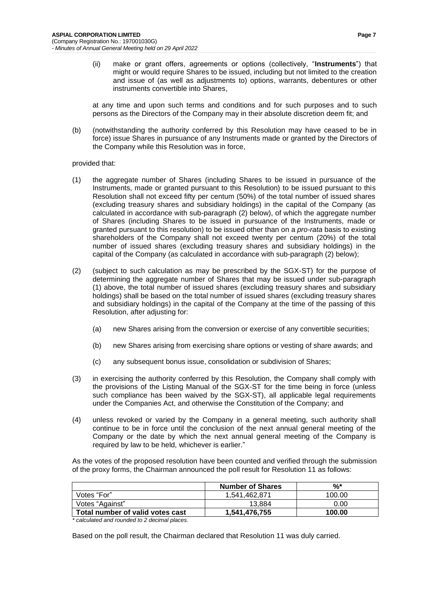(ii) make or grant offers, agreements or options (collectively, "**Instruments**") that might or would require Shares to be issued, including but not limited to the creation and issue of (as well as adjustments to) options, warrants, debentures or other instruments convertible into Shares,

at any time and upon such terms and conditions and for such purposes and to such persons as the Directors of the Company may in their absolute discretion deem fit; and

(b) (notwithstanding the authority conferred by this Resolution may have ceased to be in force) issue Shares in pursuance of any Instruments made or granted by the Directors of the Company while this Resolution was in force,

#### provided that:

- (1) the aggregate number of Shares (including Shares to be issued in pursuance of the Instruments, made or granted pursuant to this Resolution) to be issued pursuant to this Resolution shall not exceed fifty per centum (50%) of the total number of issued shares (excluding treasury shares and subsidiary holdings) in the capital of the Company (as calculated in accordance with sub-paragraph (2) below), of which the aggregate number of Shares (including Shares to be issued in pursuance of the Instruments, made or granted pursuant to this resolution) to be issued other than on a *pro-rata* basis to existing shareholders of the Company shall not exceed twenty per centum (20%) of the total number of issued shares (excluding treasury shares and subsidiary holdings) in the capital of the Company (as calculated in accordance with sub-paragraph (2) below);
- (2) (subject to such calculation as may be prescribed by the SGX-ST) for the purpose of determining the aggregate number of Shares that may be issued under sub-paragraph (1) above, the total number of issued shares (excluding treasury shares and subsidiary holdings) shall be based on the total number of issued shares (excluding treasury shares and subsidiary holdings) in the capital of the Company at the time of the passing of this Resolution, after adjusting for:
	- (a) new Shares arising from the conversion or exercise of any convertible securities;
	- (b) new Shares arising from exercising share options or vesting of share awards; and
	- (c) any subsequent bonus issue, consolidation or subdivision of Shares;
- (3) in exercising the authority conferred by this Resolution, the Company shall comply with the provisions of the Listing Manual of the SGX-ST for the time being in force (unless such compliance has been waived by the SGX-ST), all applicable legal requirements under the Companies Act, and otherwise the Constitution of the Company; and
- (4) unless revoked or varied by the Company in a general meeting, such authority shall continue to be in force until the conclusion of the next annual general meeting of the Company or the date by which the next annual general meeting of the Company is required by law to be held, whichever is earlier."

As the votes of the proposed resolution have been counted and verified through the submission of the proxy forms, the Chairman announced the poll result for Resolution 11 as follows:

| <b>Number of Shares</b> | %*     |
|-------------------------|--------|
| 1.541.462.871           | 100.00 |
| 13.884                  | 0.00   |
| 1.541.476.755           | 100.00 |
|                         |        |

*\* calculated and rounded to 2 decimal places.*

Based on the poll result, the Chairman declared that Resolution 11 was duly carried.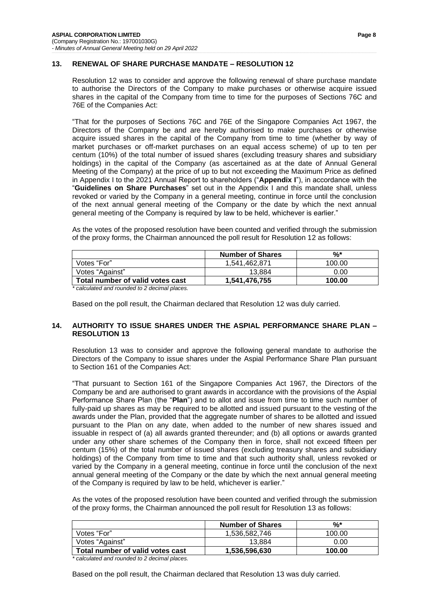# **13. RENEWAL OF SHARE PURCHASE MANDATE – RESOLUTION 12**

Resolution 12 was to consider and approve the following renewal of share purchase mandate to authorise the Directors of the Company to make purchases or otherwise acquire issued shares in the capital of the Company from time to time for the purposes of Sections 76C and 76E of the Companies Act:

"That for the purposes of Sections 76C and 76E of the Singapore Companies Act 1967, the Directors of the Company be and are hereby authorised to make purchases or otherwise acquire issued shares in the capital of the Company from time to time (whether by way of market purchases or off-market purchases on an equal access scheme) of up to ten per centum (10%) of the total number of issued shares (excluding treasury shares and subsidiary holdings) in the capital of the Company (as ascertained as at the date of Annual General Meeting of the Company) at the price of up to but not exceeding the Maximum Price as defined in Appendix I to the 2021 Annual Report to shareholders ("**Appendix I**"), in accordance with the "**Guidelines on Share Purchases**" set out in the Appendix I and this mandate shall, unless revoked or varied by the Company in a general meeting, continue in force until the conclusion of the next annual general meeting of the Company or the date by which the next annual general meeting of the Company is required by law to be held, whichever is earlier."

As the votes of the proposed resolution have been counted and verified through the submission of the proxy forms, the Chairman announced the poll result for Resolution 12 as follows:

| <b>Number of Shares</b> | %*     |
|-------------------------|--------|
| 1.541.462.871           | 100.00 |
| 13.884                  | 0.00   |
| 1.541.476.755           | 100.00 |
|                         |        |

*\* calculated and rounded to 2 decimal places.*

Based on the poll result, the Chairman declared that Resolution 12 was duly carried.

# **14. AUTHORITY TO ISSUE SHARES UNDER THE ASPIAL PERFORMANCE SHARE PLAN – RESOLUTION 13**

Resolution 13 was to consider and approve the following general mandate to authorise the Directors of the Company to issue shares under the Aspial Performance Share Plan pursuant to Section 161 of the Companies Act:

"That pursuant to Section 161 of the Singapore Companies Act 1967, the Directors of the Company be and are authorised to grant awards in accordance with the provisions of the Aspial Performance Share Plan (the "**Plan**") and to allot and issue from time to time such number of fully-paid up shares as may be required to be allotted and issued pursuant to the vesting of the awards under the Plan, provided that the aggregate number of shares to be allotted and issued pursuant to the Plan on any date, when added to the number of new shares issued and issuable in respect of (a) all awards granted thereunder; and (b) all options or awards granted under any other share schemes of the Company then in force, shall not exceed fifteen per centum (15%) of the total number of issued shares (excluding treasury shares and subsidiary holdings) of the Company from time to time and that such authority shall, unless revoked or varied by the Company in a general meeting, continue in force until the conclusion of the next annual general meeting of the Company or the date by which the next annual general meeting of the Company is required by law to be held, whichever is earlier."

As the votes of the proposed resolution have been counted and verified through the submission of the proxy forms, the Chairman announced the poll result for Resolution 13 as follows:

|                                  | <b>Number of Shares</b> | %*     |
|----------------------------------|-------------------------|--------|
| Votes "For"                      | 1,536,582,746           | 100.00 |
| Votes "Against"                  | 13.884                  | 0.00   |
| Total number of valid votes cast | 1,536,596,630           | 100.00 |

*\* calculated and rounded to 2 decimal places.*